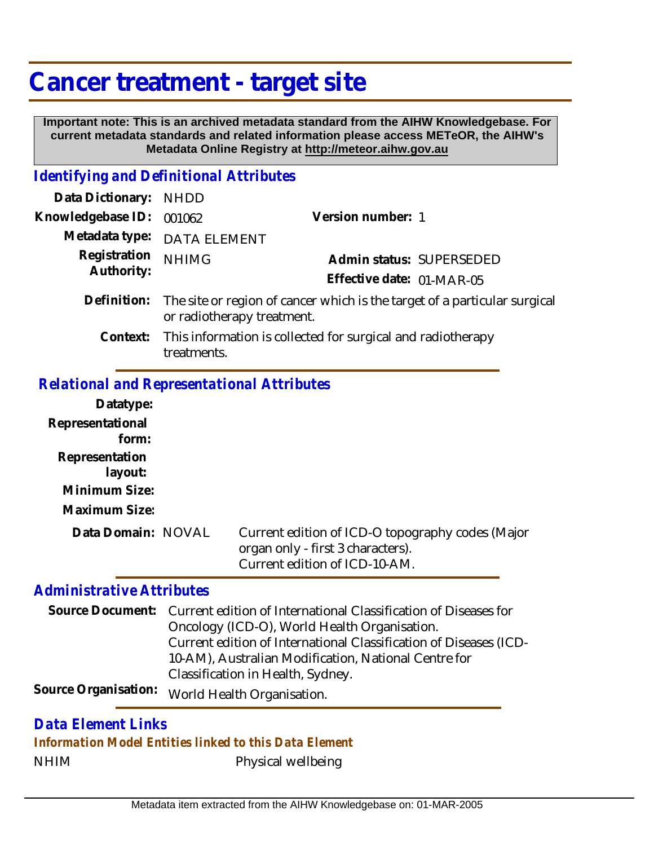# **Cancer treatment - target site**

 **Important note: This is an archived metadata standard from the AIHW Knowledgebase. For current metadata standards and related information please access METeOR, the AIHW's Metadata Online Registry at http://meteor.aihw.gov.au**

## *Identifying and Definitional Attributes*

| Data Dictionary: NHDD            |                                                                                       |                           |                          |
|----------------------------------|---------------------------------------------------------------------------------------|---------------------------|--------------------------|
| Knowledgebase ID: 001062         |                                                                                       | Version number: 1         |                          |
|                                  | Metadata type: DATA ELEMENT                                                           |                           |                          |
| Registration NHIMG<br>Authority: |                                                                                       |                           | Admin status: SUPERSEDED |
|                                  |                                                                                       | Effective date: 01-MAR-05 |                          |
|                                  | Definition: The site or region of cancer which is the target of a particular surgical |                           |                          |

or radiotherapy treatment. This information is collected for surgical and radiotherapy treatments. **Context:**

### *Relational and Representational Attributes*

| Datatype:          |                                                                                                                        |
|--------------------|------------------------------------------------------------------------------------------------------------------------|
| Representational   |                                                                                                                        |
| form:              |                                                                                                                        |
| Representation     |                                                                                                                        |
| layout:            |                                                                                                                        |
| Minimum Size:      |                                                                                                                        |
| Maximum Size:      |                                                                                                                        |
| Data Domain: NOVAL | Current edition of ICD-O topography codes (Major<br>organ only - first 3 characters).<br>Current edition of ICD-10-AM. |

#### *Administrative Attributes*

Source Document: Current edition of International Classification of Diseases for Oncology (ICD-O), World Health Organisation. Current edition of International Classification of Diseases (ICD-10-AM), Australian Modification, National Centre for Classification in Health, Sydney. Source Organisation: World Health Organisation.

### NHIM Physical wellbeing *Data Element Links Information Model Entities linked to this Data Element*